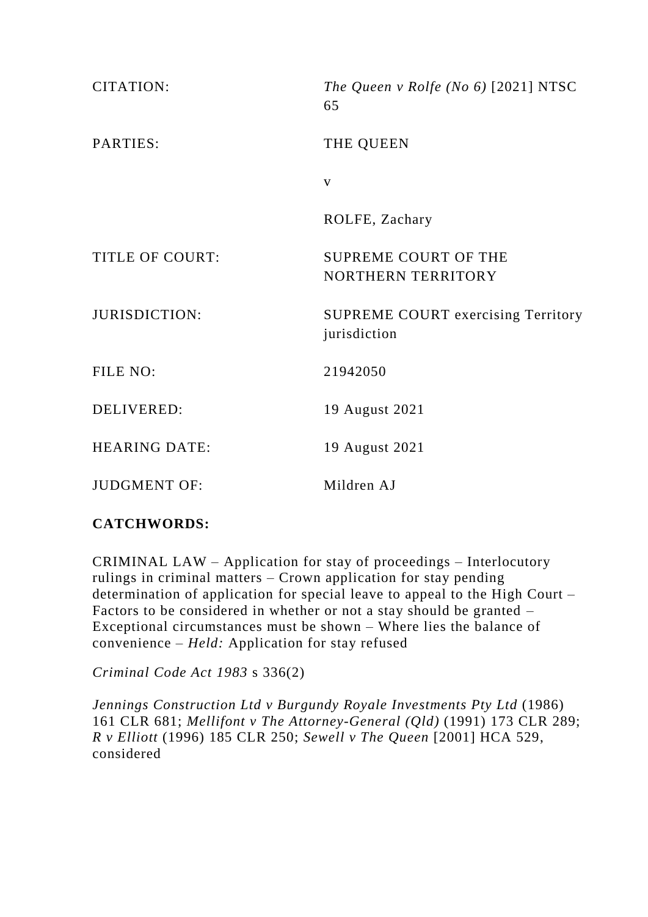| <b>CITATION:</b>       | The Queen v Rolfe (No $6$ ) [2021] NTSC<br>65             |
|------------------------|-----------------------------------------------------------|
| PARTIES:               | THE QUEEN                                                 |
|                        | $\mathbf{V}$                                              |
|                        | ROLFE, Zachary                                            |
| <b>TITLE OF COURT:</b> | <b>SUPREME COURT OF THE</b><br>NORTHERN TERRITORY         |
| <b>JURISDICTION:</b>   | <b>SUPREME COURT exercising Territory</b><br>jurisdiction |
| FILE NO:               | 21942050                                                  |
| <b>DELIVERED:</b>      | 19 August 2021                                            |
| <b>HEARING DATE:</b>   | 19 August 2021                                            |
| <b>JUDGMENT OF:</b>    | Mildren AJ                                                |

## **CATCHWORDS:**

CRIMINAL LAW – Application for stay of proceedings – Interlocutory rulings in criminal matters – Crown application for stay pending determination of application for special leave to appeal to the High Court – Factors to be considered in whether or not a stay should be granted – Exceptional circumstances must be shown – Where lies the balance of convenience – *Held:* Application for stay refused

*Criminal Code Act 1983* s 336(2)

*Jennings Construction Ltd v Burgundy Royale Investments Pty Ltd* (1986) 161 CLR 681; *Mellifont v The Attorney-General (Qld)* (1991) 173 CLR 289; *R v Elliott* (1996) 185 CLR 250; *Sewell v The Queen* [2001] HCA 529, considered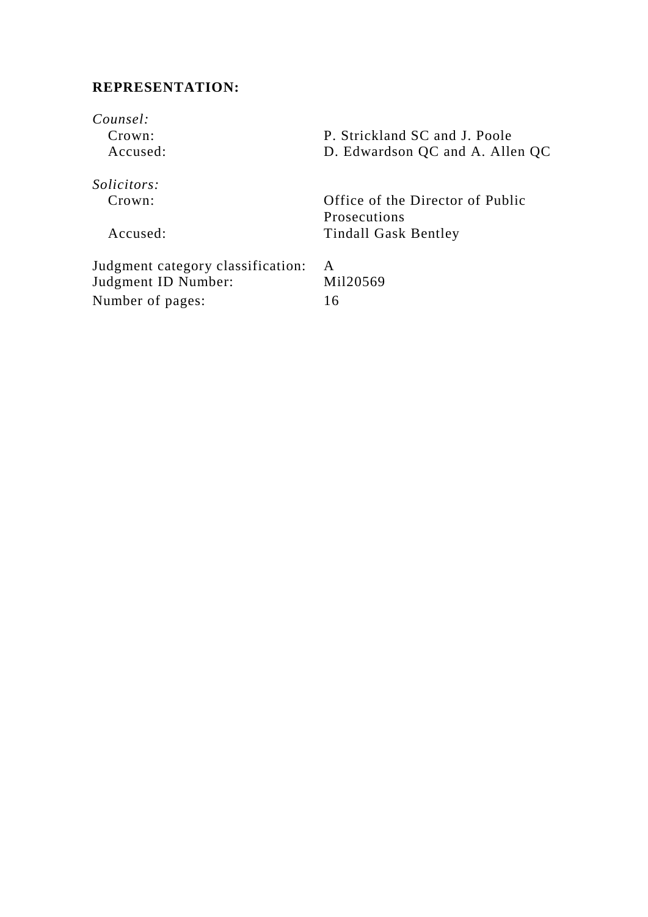# **REPRESENTATION:**

| Counsel:<br>Crown:<br>Accused:    | P. Strickland SC and J. Poole<br>D. Edwardson QC and A. Allen QC |
|-----------------------------------|------------------------------------------------------------------|
| <i>Solicitors:</i>                |                                                                  |
| Crown:                            | Office of the Director of Public                                 |
|                                   | <b>Prosecutions</b>                                              |
| Accused:                          | <b>Tindall Gask Bentley</b>                                      |
| Judgment category classification: | A                                                                |
| Judgment ID Number:               | Mil20569                                                         |
| Number of pages:                  | 16                                                               |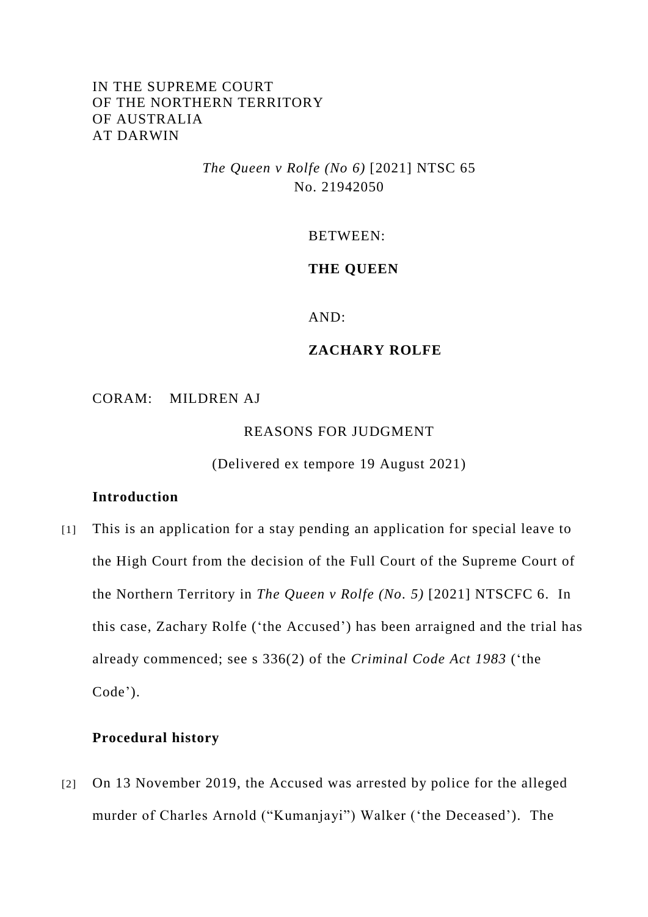### IN THE SUPREME COURT OF THE NORTHERN TERRITORY OF AUSTRALIA AT DARWIN

*The Queen v Rolfe (No 6)* [2021] NTSC 65 No. 21942050

BETWEEN:

#### **THE QUEEN**

AND:

#### **ZACHARY ROLFE**

CORAM: MILDREN AJ

REASONS FOR JUDGMENT

(Delivered ex tempore 19 August 2021)

#### **Introduction**

[1] This is an application for a stay pending an application for special leave to the High Court from the decision of the Full Court of the Supreme Court of the Northern Territory in *The Queen v Rolfe (No. 5)* [2021] NTSCFC 6. In this case, Zachary Rolfe ('the Accused') has been arraigned and the trial has already commenced; see s 336(2) of the *Criminal Code Act 1983* ('the Code').

#### **Procedural history**

[2] On 13 November 2019, the Accused was arrested by police for the alleged murder of Charles Arnold ("Kumanjayi") Walker ('the Deceased'). The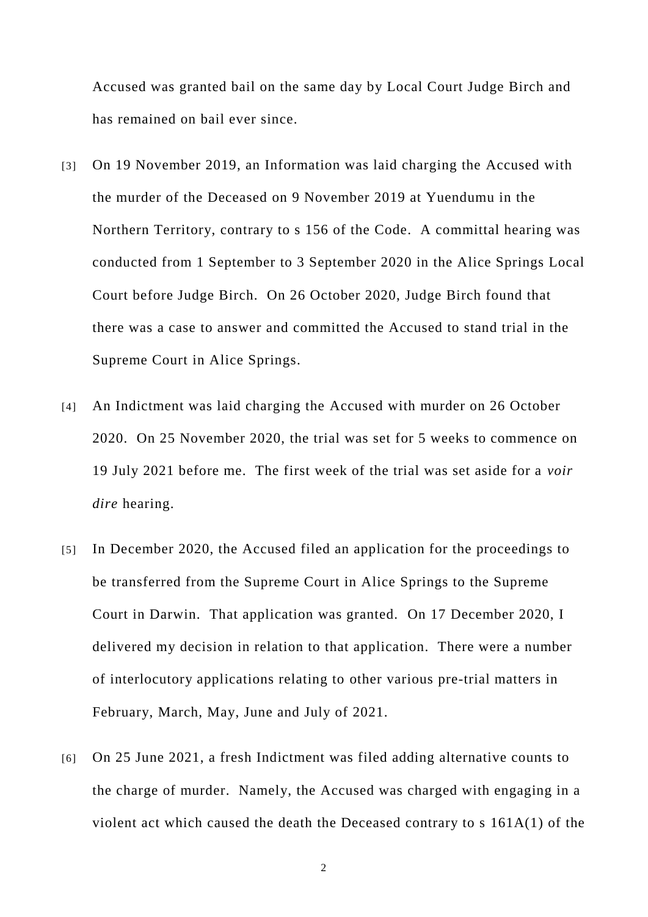Accused was granted bail on the same day by Local Court Judge Birch and has remained on bail ever since.

- [3] On 19 November 2019, an Information was laid charging the Accused with the murder of the Deceased on 9 November 2019 at Yuendumu in the Northern Territory, contrary to s 156 of the Code. A committal hearing was conducted from 1 September to 3 September 2020 in the Alice Springs Local Court before Judge Birch. On 26 October 2020, Judge Birch found that there was a case to answer and committed the Accused to stand trial in the Supreme Court in Alice Springs.
- [4] An Indictment was laid charging the Accused with murder on 26 October 2020. On 25 November 2020, the trial was set for 5 weeks to commence on 19 July 2021 before me. The first week of the trial was set aside for a *voir dire* hearing.
- [5] In December 2020, the Accused filed an application for the proceedings to be transferred from the Supreme Court in Alice Springs to the Supreme Court in Darwin. That application was granted. On 17 December 2020, I delivered my decision in relation to that application. There were a number of interlocutory applications relating to other various pre-trial matters in February, March, May, June and July of 2021.
- [6] On 25 June 2021, a fresh Indictment was filed adding alternative counts to the charge of murder. Namely, the Accused was charged with engaging in a violent act which caused the death the Deceased contrary to s 161A(1) of the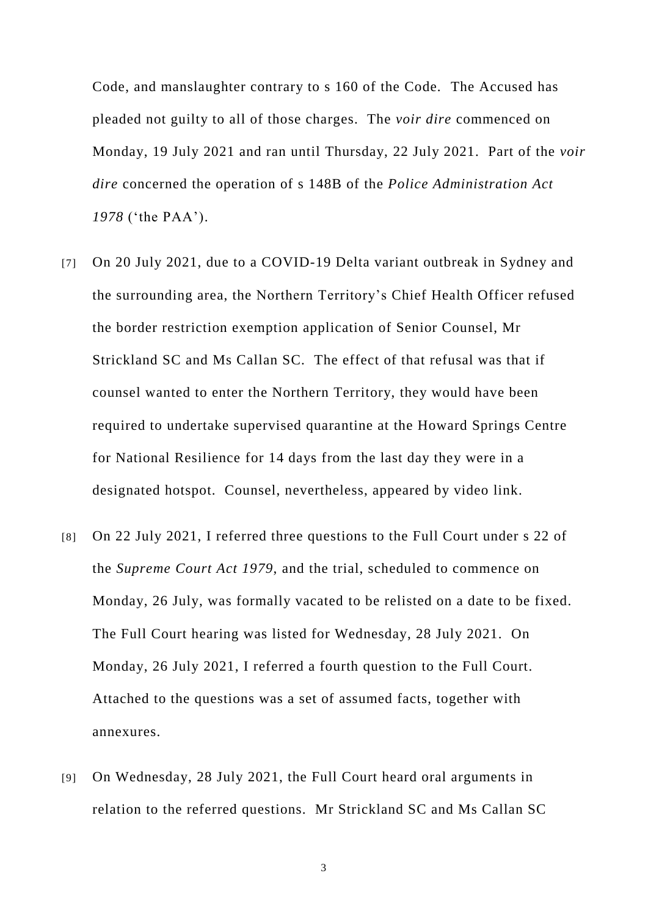Code, and manslaughter contrary to s 160 of the Code. The Accused has pleaded not guilty to all of those charges. The *voir dire* commenced on Monday, 19 July 2021 and ran until Thursday, 22 July 2021. Part of the *voir dire* concerned the operation of s 148B of the *Police Administration Act 1978* ('the PAA').

- [7] On 20 July 2021, due to a COVID-19 Delta variant outbreak in Sydney and the surrounding area, the Northern Territory's Chief Health Officer refused the border restriction exemption application of Senior Counsel, Mr Strickland SC and Ms Callan SC. The effect of that refusal was that if counsel wanted to enter the Northern Territory, they would have been required to undertake supervised quarantine at the Howard Springs Centre for National Resilience for 14 days from the last day they were in a designated hotspot. Counsel, nevertheless, appeared by video link.
- [8] On 22 July 2021, I referred three questions to the Full Court under s 22 of the *Supreme Court Act 1979*, and the trial, scheduled to commence on Monday, 26 July, was formally vacated to be relisted on a date to be fixed. The Full Court hearing was listed for Wednesday, 28 July 2021. On Monday, 26 July 2021, I referred a fourth question to the Full Court. Attached to the questions was a set of assumed facts, together with annexures.
- [9] On Wednesday, 28 July 2021, the Full Court heard oral arguments in relation to the referred questions. Mr Strickland SC and Ms Callan SC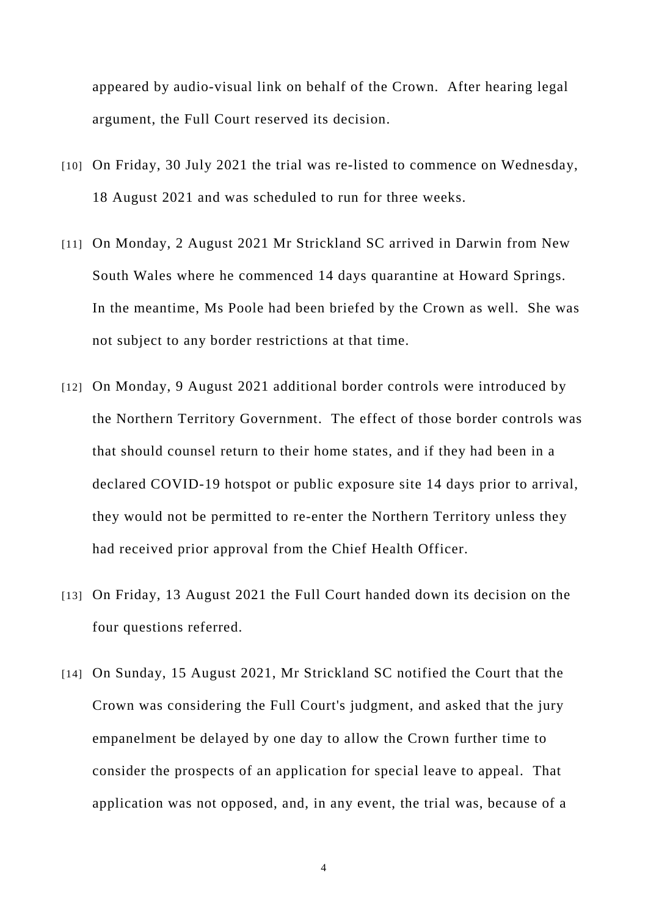appeared by audio-visual link on behalf of the Crown. After hearing legal argument, the Full Court reserved its decision.

- [10] On Friday, 30 July 2021 the trial was re-listed to commence on Wednesday, 18 August 2021 and was scheduled to run for three weeks.
- [11] On Monday, 2 August 2021 Mr Strickland SC arrived in Darwin from New South Wales where he commenced 14 days quarantine at Howard Springs. In the meantime, Ms Poole had been briefed by the Crown as well. She was not subject to any border restrictions at that time.
- [12] On Monday, 9 August 2021 additional border controls were introduced by the Northern Territory Government. The effect of those border controls was that should counsel return to their home states, and if they had been in a declared COVID-19 hotspot or public exposure site 14 days prior to arrival, they would not be permitted to re-enter the Northern Territory unless they had received prior approval from the Chief Health Officer.
- [13] On Friday, 13 August 2021 the Full Court handed down its decision on the four questions referred.
- [14] On Sunday, 15 August 2021, Mr Strickland SC notified the Court that the Crown was considering the Full Court's judgment, and asked that the jury empanelment be delayed by one day to allow the Crown further time to consider the prospects of an application for special leave to appeal. That application was not opposed, and, in any event, the trial was, because of a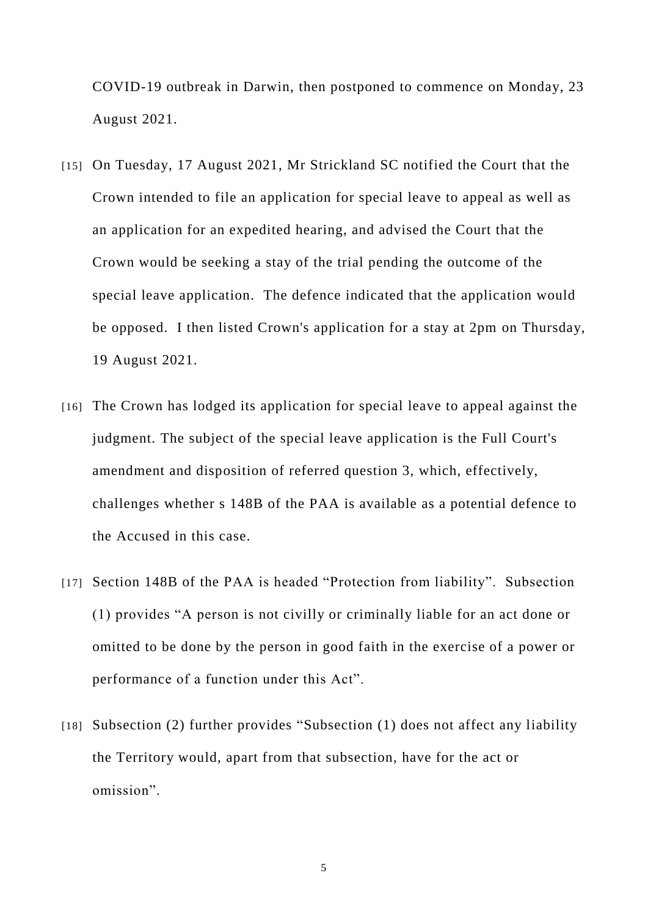COVID-19 outbreak in Darwin, then postponed to commence on Monday, 23 August 2021.

- [15] On Tuesday, 17 August 2021, Mr Strickland SC notified the Court that the Crown intended to file an application for special leave to appeal as well as an application for an expedited hearing, and advised the Court that the Crown would be seeking a stay of the trial pending the outcome of the special leave application. The defence indicated that the application would be opposed. I then listed Crown's application for a stay at 2pm on Thursday, 19 August 2021.
- [16] The Crown has lodged its application for special leave to appeal against the judgment. The subject of the special leave application is the Full Court's amendment and disposition of referred question 3, which, effectively, challenges whether s 148B of the PAA is available as a potential defence to the Accused in this case.
- [17] Section 148B of the PAA is headed "Protection from liability". Subsection (1) provides "A person is not civilly or criminally liable for an act done or omitted to be done by the person in good faith in the exercise of a power or performance of a function under this Act".
- [18] Subsection (2) further provides "Subsection (1) does not affect any liability the Territory would, apart from that subsection, have for the act or omission".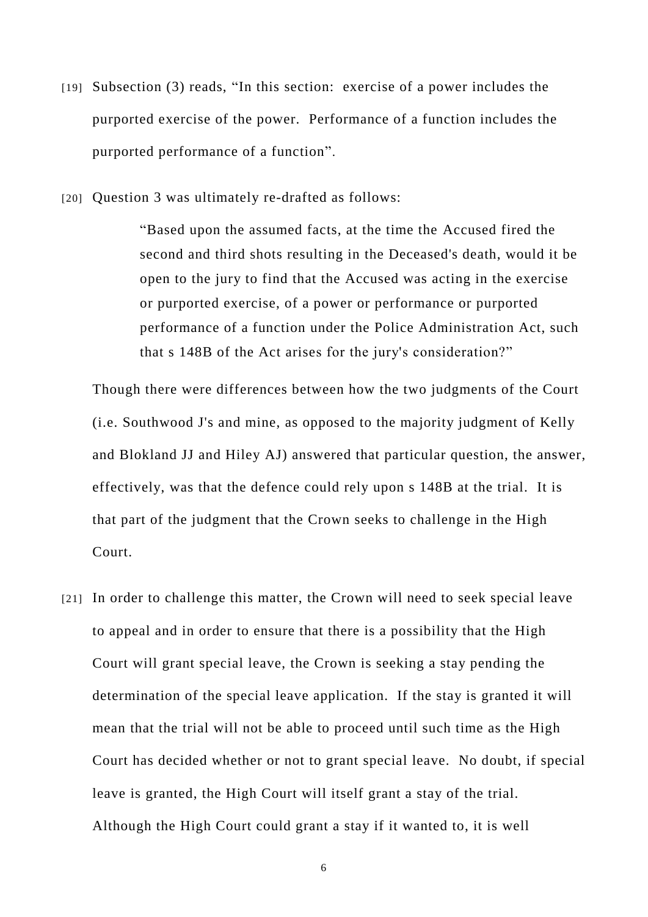- [19] Subsection (3) reads, "In this section: exercise of a power includes the purported exercise of the power. Performance of a function includes the purported performance of a function".
- [20] Question 3 was ultimately re-drafted as follows:

"Based upon the assumed facts, at the time the Accused fired the second and third shots resulting in the Deceased's death, would it be open to the jury to find that the Accused was acting in the exercise or purported exercise, of a power or performance or purported performance of a function under the Police Administration Act, such that s 148B of the Act arises for the jury's consideration?"

Though there were differences between how the two judgments of the Court (i.e. Southwood J's and mine, as opposed to the majority judgment of Kelly and Blokland JJ and Hiley AJ) answered that particular question, the answer, effectively, was that the defence could rely upon s 148B at the trial. It is that part of the judgment that the Crown seeks to challenge in the High Court.

[21] In order to challenge this matter, the Crown will need to seek special leave to appeal and in order to ensure that there is a possibility that the High Court will grant special leave, the Crown is seeking a stay pending the determination of the special leave application. If the stay is granted it will mean that the trial will not be able to proceed until such time as the High Court has decided whether or not to grant special leave. No doubt, if special leave is granted, the High Court will itself grant a stay of the trial. Although the High Court could grant a stay if it wanted to, it is well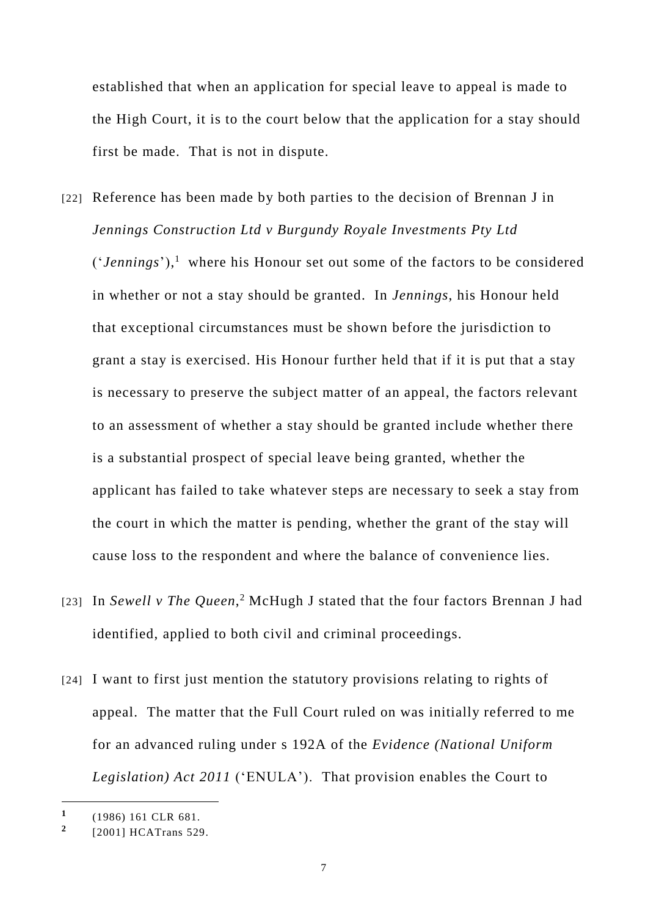established that when an application for special leave to appeal is made to the High Court, it is to the court below that the application for a stay should first be made. That is not in dispute.

- [22] Reference has been made by both parties to the decision of Brennan J in *Jennings Construction Ltd v Burgundy Royale Investments Pty Ltd* ('*Jennings*'), 1 where his Honour set out some of the factors to be considered in whether or not a stay should be granted. In *Jennings*, his Honour held that exceptional circumstances must be shown before the jurisdiction to grant a stay is exercised. His Honour further held that if it is put that a stay is necessary to preserve the subject matter of an appeal, the factors relevant to an assessment of whether a stay should be granted include whether there is a substantial prospect of special leave being granted, whether the applicant has failed to take whatever steps are necessary to seek a stay from the court in which the matter is pending, whether the grant of the stay will cause loss to the respondent and where the balance of convenience lies.
- [23] In Sewell v The Queen,<sup>2</sup> McHugh J stated that the four factors Brennan J had identified, applied to both civil and criminal proceedings.
- [24] I want to first just mention the statutory provisions relating to rights of appeal. The matter that the Full Court ruled on was initially referred to me for an advanced ruling under s 192A of the *Evidence (National Uniform Legislation) Act 2011* ('ENULA'). That provision enables the Court to

**<sup>1</sup>** (1986) 161 CLR 681.

**<sup>2</sup>** [2001] HCATrans 529.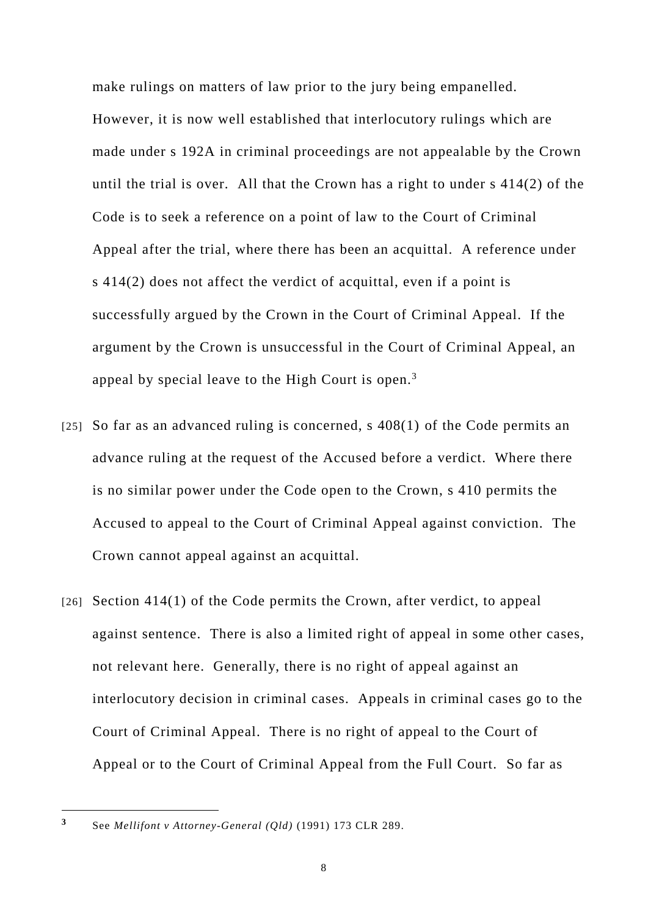make rulings on matters of law prior to the jury being empanelled. However, it is now well established that interlocutory rulings which are made under s 192A in criminal proceedings are not appealable by the Crown until the trial is over. All that the Crown has a right to under s 414(2) of the Code is to seek a reference on a point of law to the Court of Criminal Appeal after the trial, where there has been an acquittal. A reference under s 414(2) does not affect the verdict of acquittal, even if a point is successfully argued by the Crown in the Court of Criminal Appeal. If the argument by the Crown is unsuccessful in the Court of Criminal Appeal, an appeal by special leave to the High Court is open. $3$ 

- [25] So far as an advanced ruling is concerned, s  $408(1)$  of the Code permits an advance ruling at the request of the Accused before a verdict. Where there is no similar power under the Code open to the Crown, s 410 permits the Accused to appeal to the Court of Criminal Appeal against conviction. The Crown cannot appeal against an acquittal.
- [26] Section 414(1) of the Code permits the Crown, after verdict, to appeal against sentence. There is also a limited right of appeal in some other cases, not relevant here. Generally, there is no right of appeal against an interlocutory decision in criminal cases. Appeals in criminal cases go to the Court of Criminal Appeal. There is no right of appeal to the Court of Appeal or to the Court of Criminal Appeal from the Full Court. So far as

**<sup>3</sup>** See *Mellifont v Attorney-General (Qld)* (1991) 173 CLR 289.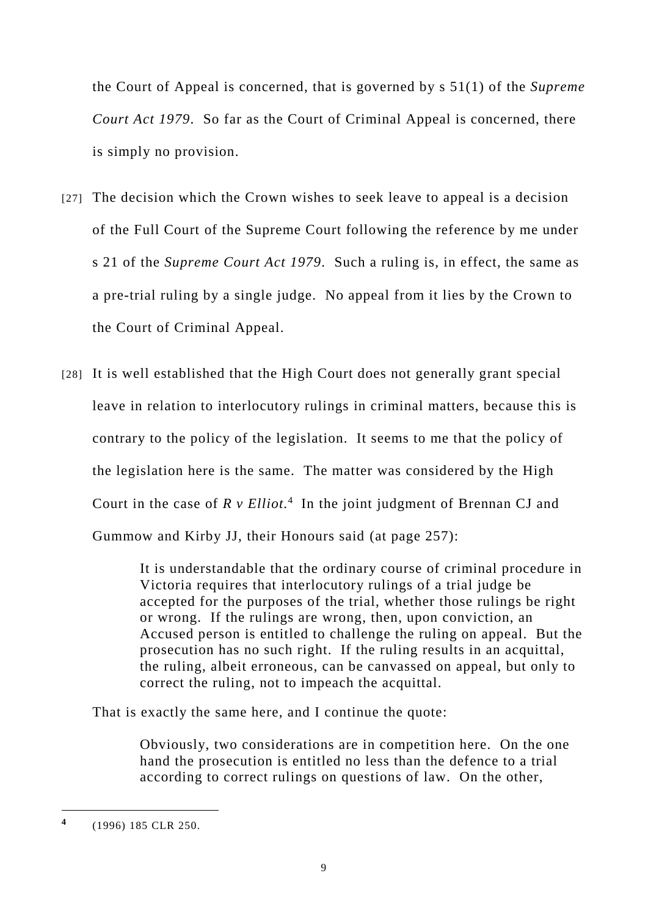the Court of Appeal is concerned, that is governed by s 51(1) of the *Supreme Court Act 1979*. So far as the Court of Criminal Appeal is concerned, there is simply no provision.

- [27] The decision which the Crown wishes to seek leave to appeal is a decision of the Full Court of the Supreme Court following the reference by me under s 21 of the *Supreme Court Act 1979*. Such a ruling is, in effect, the same as a pre-trial ruling by a single judge. No appeal from it lies by the Crown to the Court of Criminal Appeal.
- [28] It is well established that the High Court does not generally grant special leave in relation to interlocutory rulings in criminal matters, because this is contrary to the policy of the legislation. It seems to me that the policy of the legislation here is the same. The matter was considered by the High Court in the case of  $R \vee Elliot.$ <sup>4</sup> In the joint judgment of Brennan CJ and Gummow and Kirby JJ, their Honours said (at page 257):

It is understandable that the ordinary course of criminal procedure in Victoria requires that interlocutory rulings of a trial judge be accepted for the purposes of the trial, whether those rulings be right or wrong. If the rulings are wrong, then, upon conviction, an Accused person is entitled to challenge the ruling on appeal. But the prosecution has no such right. If the ruling results in an acquittal, the ruling, albeit erroneous, can be canvassed on appeal, but only to correct the ruling, not to impeach the acquittal.

That is exactly the same here, and I continue the quote:

Obviously, two considerations are in competition here. On the one hand the prosecution is entitled no less than the defence to a trial according to correct rulings on questions of law. On the other,

**<sup>4</sup>** (1996) 185 CLR 250.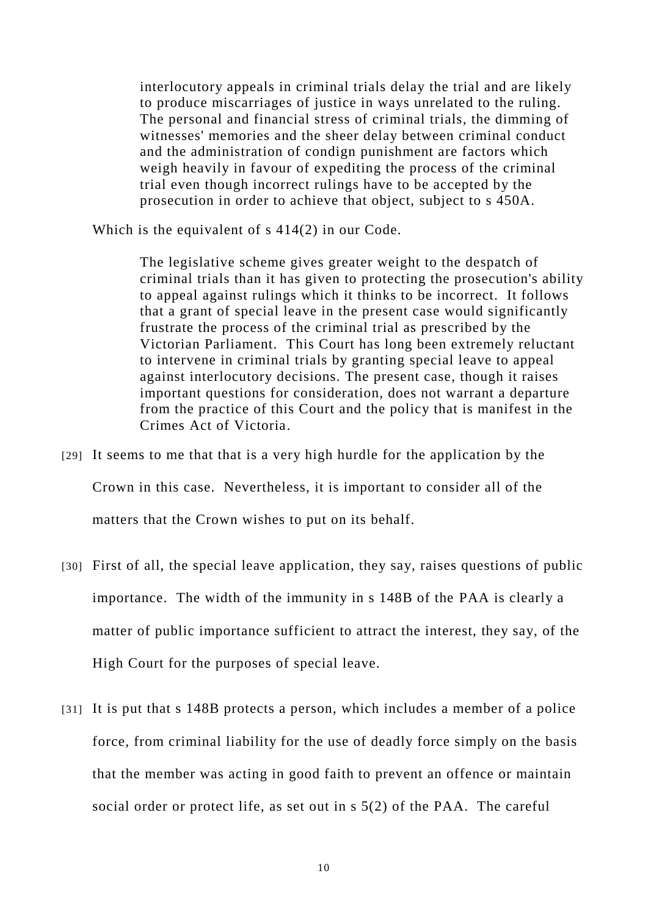interlocutory appeals in criminal trials delay the trial and are likely to produce miscarriages of justice in ways unrelated to the ruling. The personal and financial stress of criminal trials, the dimming of witnesses' memories and the sheer delay between criminal conduct and the administration of condign punishment are factors which weigh heavily in favour of expediting the process of the criminal trial even though incorrect rulings have to be accepted by the prosecution in order to achieve that object, subject to s 450A.

Which is the equivalent of s 414(2) in our Code.

The legislative scheme gives greater weight to the despatch of criminal trials than it has given to protecting the prosecution's ability to appeal against rulings which it thinks to be incorrect. It follows that a grant of special leave in the present case would significantly frustrate the process of the criminal trial as prescribed by the Victorian Parliament. This Court has long been extremely reluctant to intervene in criminal trials by granting special leave to appeal against interlocutory decisions. The present case, though it raises important questions for consideration, does not warrant a departure from the practice of this Court and the policy that is manifest in the Crimes Act of Victoria.

- [29] It seems to me that that is a very high hurdle for the application by the Crown in this case. Nevertheless, it is important to consider all of the matters that the Crown wishes to put on its behalf.
- [30] First of all, the special leave application, they say, raises questions of public importance. The width of the immunity in s 148B of the PAA is clearly a matter of public importance sufficient to attract the interest, they say, of the High Court for the purposes of special leave.
- [31] It is put that s 148B protects a person, which includes a member of a police force, from criminal liability for the use of deadly force simply on the basis that the member was acting in good faith to prevent an offence or maintain social order or protect life, as set out in s 5(2) of the PAA. The careful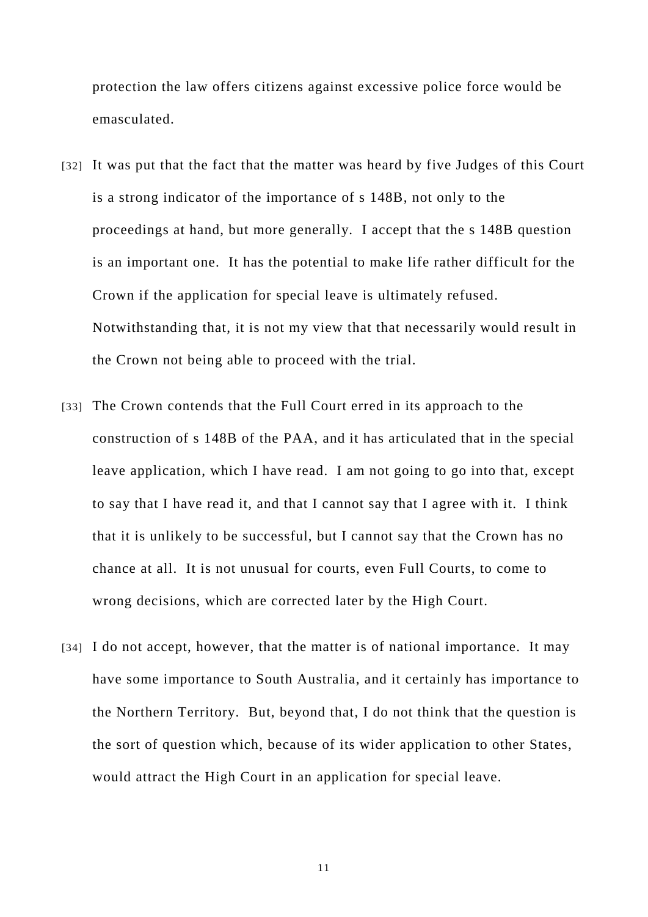protection the law offers citizens against excessive police force would be emasculated.

- [32] It was put that the fact that the matter was heard by five Judges of this Court is a strong indicator of the importance of s 148B, not only to the proceedings at hand, but more generally. I accept that the s 148B question is an important one. It has the potential to make life rather difficult for the Crown if the application for special leave is ultimately refused. Notwithstanding that, it is not my view that that necessarily would result in the Crown not being able to proceed with the trial.
- [33] The Crown contends that the Full Court erred in its approach to the construction of s 148B of the PAA, and it has articulated that in the special leave application, which I have read. I am not going to go into that, except to say that I have read it, and that I cannot say that I agree with it. I think that it is unlikely to be successful, but I cannot say that the Crown has no chance at all. It is not unusual for courts, even Full Courts, to come to wrong decisions, which are corrected later by the High Court.
- [34] I do not accept, however, that the matter is of national importance. It may have some importance to South Australia, and it certainly has importance to the Northern Territory. But, beyond that, I do not think that the question is the sort of question which, because of its wider application to other States, would attract the High Court in an application for special leave.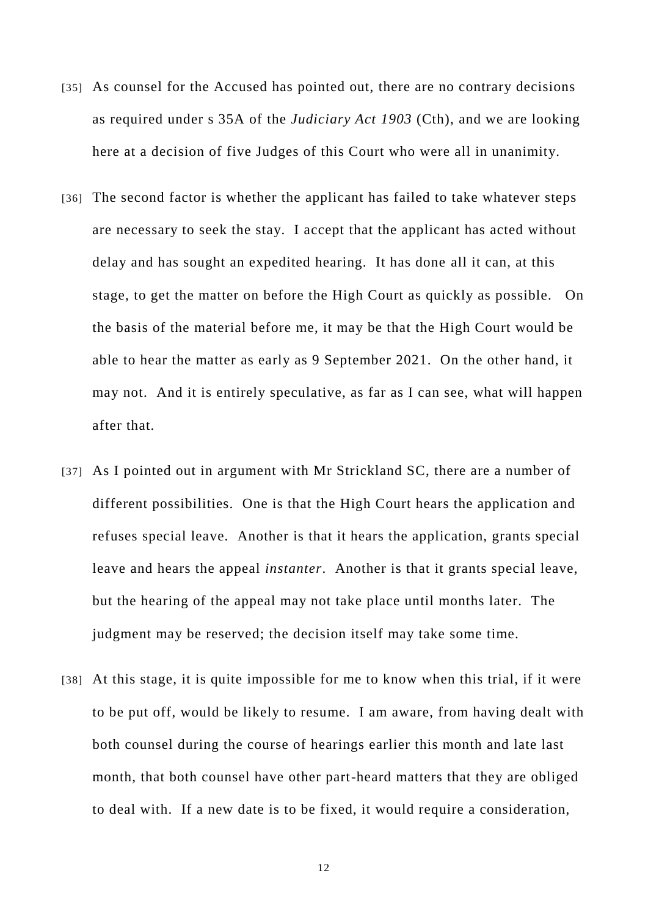- [35] As counsel for the Accused has pointed out, there are no contrary decisions as required under s 35A of the *Judiciary Act 1903* (Cth), and we are looking here at a decision of five Judges of this Court who were all in unanimity.
- [36] The second factor is whether the applicant has failed to take whatever steps are necessary to seek the stay. I accept that the applicant has acted without delay and has sought an expedited hearing. It has done all it can, at this stage, to get the matter on before the High Court as quickly as possible. On the basis of the material before me, it may be that the High Court would be able to hear the matter as early as 9 September 2021. On the other hand, it may not. And it is entirely speculative, as far as I can see, what will happen after that.
- [37] As I pointed out in argument with Mr Strickland SC, there are a number of different possibilities. One is that the High Court hears the application and refuses special leave. Another is that it hears the application, grants special leave and hears the appeal *instanter*. Another is that it grants special leave, but the hearing of the appeal may not take place until months later. The judgment may be reserved; the decision itself may take some time.
- [38] At this stage, it is quite impossible for me to know when this trial, if it were to be put off, would be likely to resume. I am aware, from having dealt with both counsel during the course of hearings earlier this month and late last month, that both counsel have other part-heard matters that they are obliged to deal with. If a new date is to be fixed, it would require a consideration,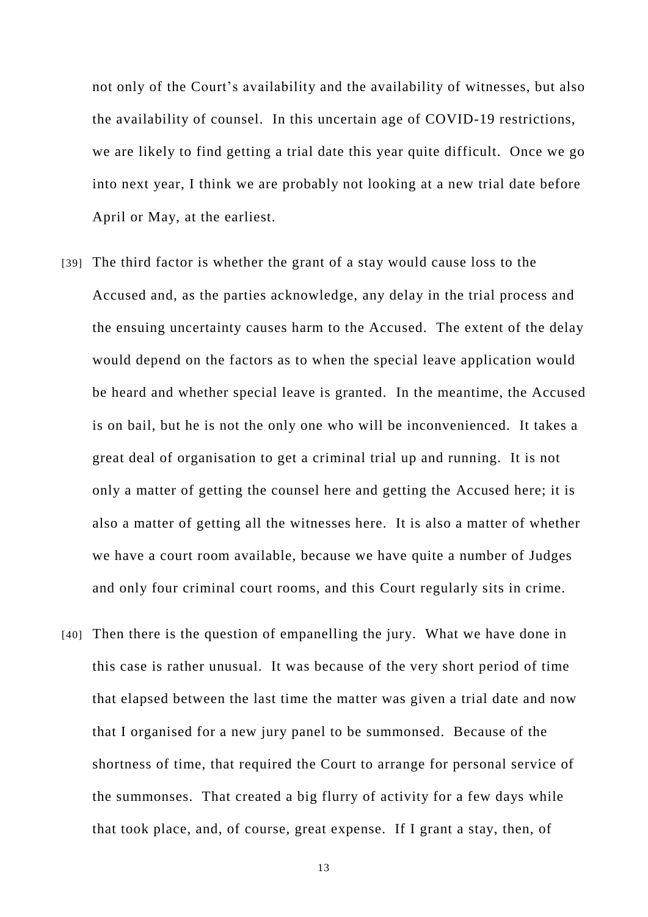not only of the Court's availability and the availability of witnesses, but also the availability of counsel. In this uncertain age of COVID-19 restrictions, we are likely to find getting a trial date this year quite difficult. Once we go into next year, I think we are probably not looking at a new trial date before April or May, at the earliest.

- [39] The third factor is whether the grant of a stay would cause loss to the Accused and, as the parties acknowledge, any delay in the trial process and the ensuing uncertainty causes harm to the Accused. The extent of the delay would depend on the factors as to when the special leave application would be heard and whether special leave is granted. In the meantime, the Accused is on bail, but he is not the only one who will be inconvenienced. It takes a great deal of organisation to get a criminal trial up and running. It is not only a matter of getting the counsel here and getting the Accused here; it is also a matter of getting all the witnesses here. It is also a matter of whether we have a court room available, because we have quite a number of Judges and only four criminal court rooms, and this Court regularly sits in crime.
- [40] Then there is the question of empanelling the jury. What we have done in this case is rather unusual. It was because of the very short period of time that elapsed between the last time the matter was given a trial date and now that I organised for a new jury panel to be summonsed. Because of the shortness of time, that required the Court to arrange for personal service of the summonses. That created a big flurry of activity for a few days while that took place, and, of course, great expense. If I grant a stay, then, of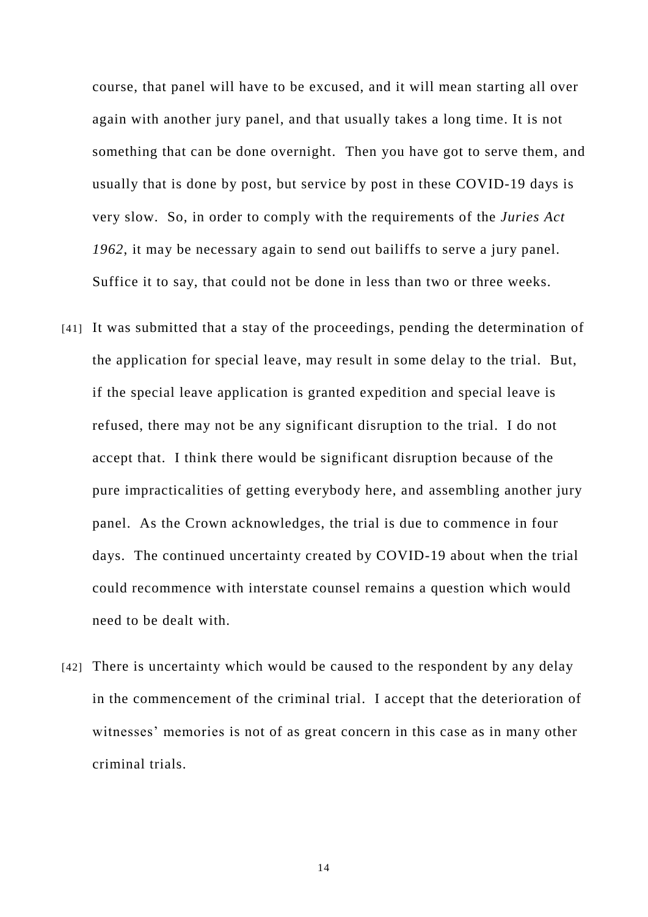course, that panel will have to be excused, and it will mean starting all over again with another jury panel, and that usually takes a long time. It is not something that can be done overnight. Then you have got to serve them, and usually that is done by post, but service by post in these COVID-19 days is very slow. So, in order to comply with the requirements of the *Juries Act 1962*, it may be necessary again to send out bailiffs to serve a jury panel. Suffice it to say, that could not be done in less than two or three weeks.

- [41] It was submitted that a stay of the proceedings, pending the determination of the application for special leave, may result in some delay to the trial. But, if the special leave application is granted expedition and special leave is refused, there may not be any significant disruption to the trial. I do not accept that. I think there would be significant disruption because of the pure impracticalities of getting everybody here, and assembling another jury panel. As the Crown acknowledges, the trial is due to commence in four days. The continued uncertainty created by COVID-19 about when the trial could recommence with interstate counsel remains a question which would need to be dealt with.
- [42] There is uncertainty which would be caused to the respondent by any delay in the commencement of the criminal trial. I accept that the deterioration of witnesses' memories is not of as great concern in this case as in many other criminal trials.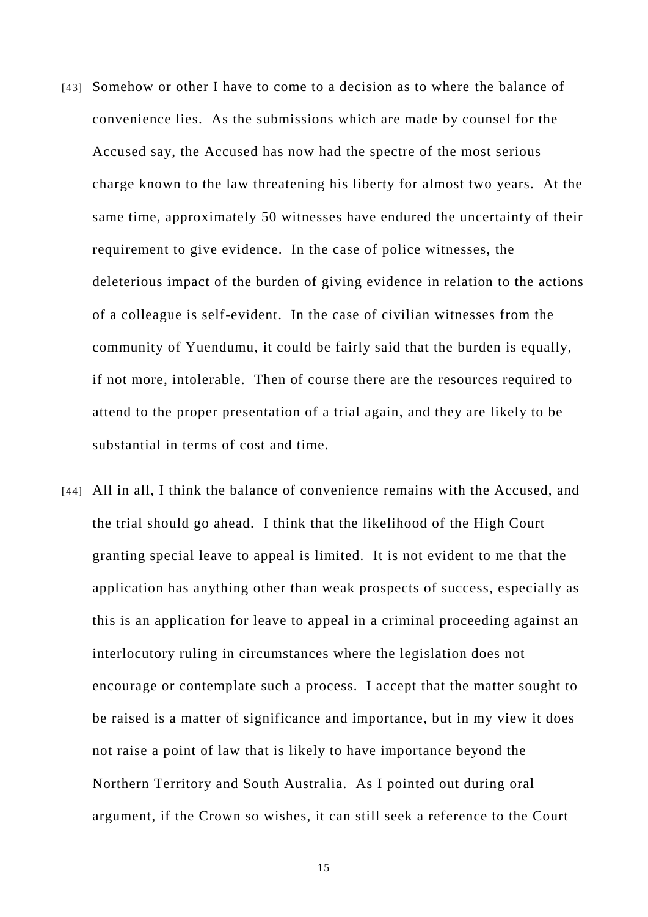- [43] Somehow or other I have to come to a decision as to where the balance of convenience lies. As the submissions which are made by counsel for the Accused say, the Accused has now had the spectre of the most serious charge known to the law threatening his liberty for almost two years. At the same time, approximately 50 witnesses have endured the uncertainty of their requirement to give evidence. In the case of police witnesses, the deleterious impact of the burden of giving evidence in relation to the actions of a colleague is self-evident. In the case of civilian witnesses from the community of Yuendumu, it could be fairly said that the burden is equally, if not more, intolerable. Then of course there are the resources required to attend to the proper presentation of a trial again, and they are likely to be substantial in terms of cost and time.
- [44] All in all, I think the balance of convenience remains with the Accused, and the trial should go ahead. I think that the likelihood of the High Court granting special leave to appeal is limited. It is not evident to me that the application has anything other than weak prospects of success, especially as this is an application for leave to appeal in a criminal proceeding against an interlocutory ruling in circumstances where the legislation does not encourage or contemplate such a process. I accept that the matter sought to be raised is a matter of significance and importance, but in my view it does not raise a point of law that is likely to have importance beyond the Northern Territory and South Australia. As I pointed out during oral argument, if the Crown so wishes, it can still seek a reference to the Court